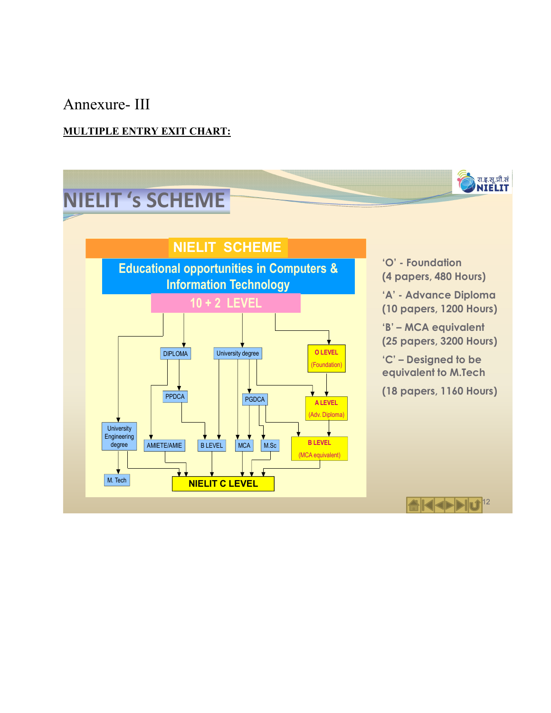# Annexure- III

## **MULTIPLE ENTRY EXIT CHART:**

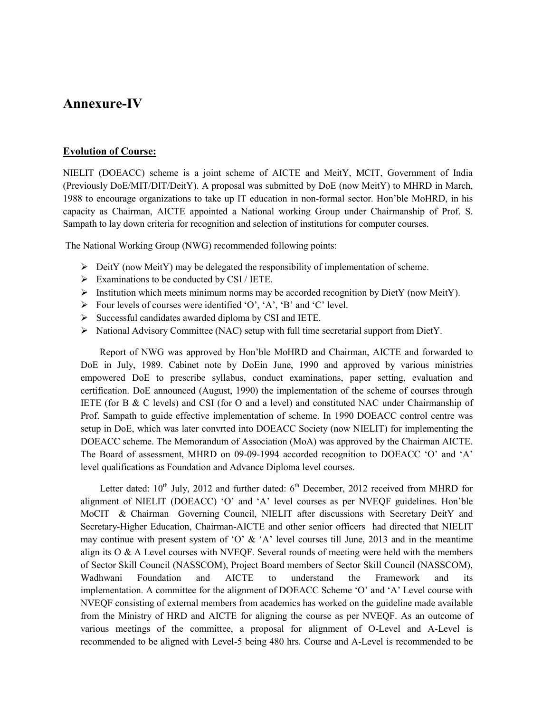## **Annexure-IV**

#### **Evolution of Course:**

NIELIT (DOEACC) scheme is a joint scheme of AICTE and MeitY, MCIT, Government of India (Previously DoE/MIT/DIT/DeitY). A proposal was submitted by DoE (now MeitY) to MHRD in March, 1988 to encourage organizations to take up IT education in non-formal sector. Hon'ble MoHRD, in his capacity as Chairman, AICTE appointed a National working Group under Chairmanship of Prof. S. Sampath to lay down criteria for recognition and selection of institutions for computer courses.

The National Working Group (NWG) recommended following points:

- $\triangleright$  DeitY (now MeitY) may be delegated the responsibility of implementation of scheme.
- $\triangleright$  Examinations to be conducted by CSI / IETE.
- $\triangleright$  Institution which meets minimum norms may be accorded recognition by DietY (now MeitY).
- $\triangleright$  Four levels of courses were identified 'O', 'A', 'B' and 'C' level.
- $\triangleright$  Successful candidates awarded diploma by CSI and IETE.
- $\triangleright$  National Advisory Committee (NAC) setup with full time secretarial support from DietY.

Report of NWG was approved by Hon'ble MoHRD and Chairman, AICTE and forwarded to DoE in July, 1989. Cabinet note by DoEin June, 1990 and approved by various ministries empowered DoE to prescribe syllabus, conduct examinations, paper setting, evaluation and certification. DoE announced (August, 1990) the implementation of the scheme of courses through IETE (for B & C levels) and CSI (for O and a level) and constituted NAC under Chairmanship of Prof. Sampath to guide effective implementation of scheme. In 1990 DOEACC control centre was setup in DoE, which was later convrted into DOEACC Society (now NIELIT) for implementing the DOEACC scheme. The Memorandum of Association (MoA) was approved by the Chairman AICTE. The Board of assessment, MHRD on 09-09-1994 accorded recognition to DOEACC 'O' and 'A' level qualifications as Foundation and Advance Diploma level courses.

Letter dated:  $10^{th}$  July, 2012 and further dated:  $6^{th}$  December, 2012 received from MHRD for alignment of NIELIT (DOEACC) 'O' and 'A' level courses as per NVEQF guidelines. Hon'ble MoCIT & Chairman Governing Council, NIELIT after discussions with Secretary DeitY and Secretary-Higher Education, Chairman-AICTE and other senior officers had directed that NIELIT may continue with present system of 'O'  $\&$  'A' level courses till June, 2013 and in the meantime align its  $O & A$  Level courses with NVEQF. Several rounds of meeting were held with the members of Sector Skill Council (NASSCOM), Project Board members of Sector Skill Council (NASSCOM), Wadhwani Foundation and AICTE to understand the Framework and its implementation. A committee for the alignment of DOEACC Scheme 'O' and 'A' Level course with NVEQF consisting of external members from academics has worked on the guideline made available from the Ministry of HRD and AICTE for aligning the course as per NVEQF. As an outcome of various meetings of the committee, a proposal for alignment of O-Level and A-Level is recommended to be aligned with Level-5 being 480 hrs. Course and A-Level is recommended to be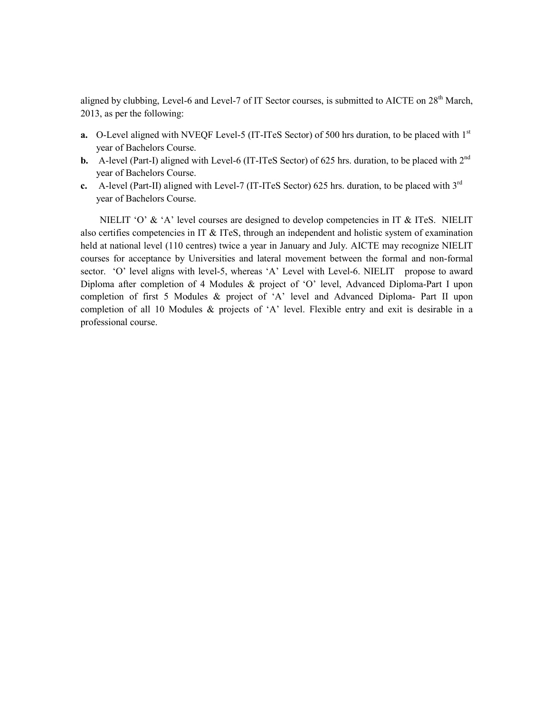aligned by clubbing, Level-6 and Level-7 of IT Sector courses, is submitted to AICTE on 28<sup>th</sup> March, 2013, as per the following:

- **a.** O-Level aligned with NVEQF Level-5 (IT-ITeS Sector) of 500 hrs duration, to be placed with 1<sup>st</sup> year of Bachelors Course.
- **b.** A-level (Part-I) aligned with Level-6 (IT-ITeS Sector) of 625 hrs. duration, to be placed with  $2^{nd}$ year of Bachelors Course.
- **c.** A-level (Part-II) aligned with Level-7 (IT-ITeS Sector) 625 hrs. duration, to be placed with 3rd year of Bachelors Course.

NIELIT 'O' & 'A' level courses are designed to develop competencies in IT & ITeS. NIELIT also certifies competencies in IT & ITeS, through an independent and holistic system of examination held at national level (110 centres) twice a year in January and July. AICTE may recognize NIELIT courses for acceptance by Universities and lateral movement between the formal and non-formal sector. 'O' level aligns with level-5, whereas 'A' Level with Level-6. NIELIT propose to award Diploma after completion of 4 Modules & project of 'O' level, Advanced Diploma-Part I upon completion of first 5 Modules & project of 'A' level and Advanced Diploma- Part II upon completion of all 10 Modules & projects of 'A' level. Flexible entry and exit is desirable in a professional course.